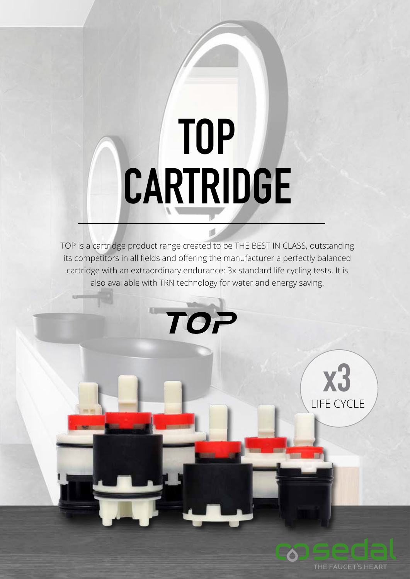# **TOP CARTRIDGE**

TOP is a cartridge product range created to be THE BEST IN CLASS, outstanding its competitors in all fields and offering the manufacturer a perfectly balanced cartridge with an extraordinary endurance: 3x standard life cycling tests. It is also available with TRN technology for water and energy saving.





LIFE CYCLE

**x3**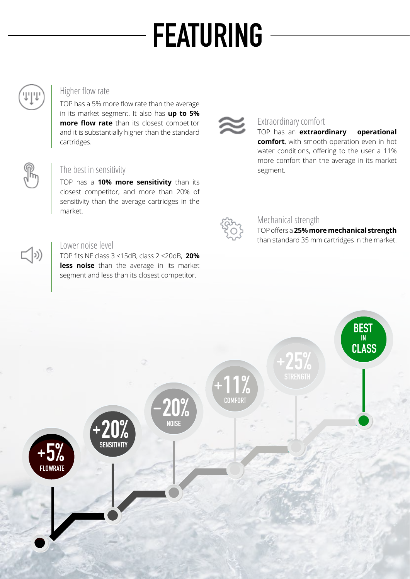## **FEATURING**



### Higher flow rate

TOP has a 5% more flow rate than the average in its market segment. It also has **up to 5% more flow rate** than its closest competitor and it is substantially higher than the standard cartridges.



 $\Box$ 

### The best in sensitivity

TOP has a **10% more sensitivity** than its closest competitor, and more than 20% of sensitivity than the average cartridges in the market.

### Lower noise level

TOP fits NF class 3 <15dB, class 2 <20dB, **20% less noise** than the average in its market segment and less than its closest competitor.



### Extraordinary comfort

TOP has an **extraordinary operational comfort**, with smooth operation even in hot water conditions, offering to the user a 11% more comfort than the average in its market segment.



### Mechanical strength

TOP offers a **25% more mechanical strength**  than standard 35 mm cartridges in the market.

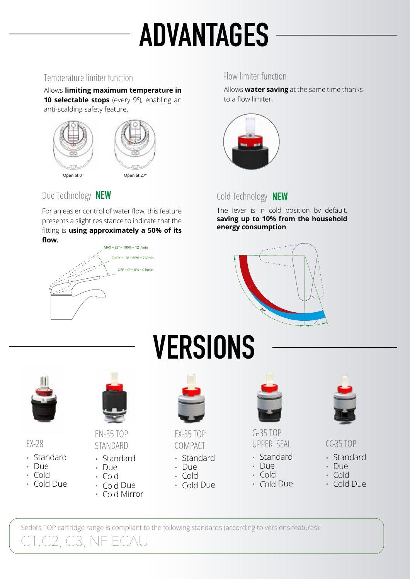## **ADVANTAGES**

### Temperature limiter function Flow limiter function

Allows **limiting maximum temperature in 10 selectable stops** (every 9°), enabling an anti-scalding safety feature.



### Due Technology  $NEW$  . The Cold Technology

For an easier control of water flow, this feature presents a slight resistance to indicate that the fitting is **using approximately a 50% of its flow.**



Allows **water saving** at the same time thanks to a flow limiter.



### Cold Technology **NEW**

The lever is in cold position by default, **saving up to 10% from the household energy consumption**.





EX-28

- Standard
- Due
- Cold
- Cold Due



EN-35 TOP STANDARD

- Standard
- Due • Cold
- Cold Due
	- Cold Mirror



EX-35 TOP COMPACT

- Standard
- Due • Cold
- 
- Cold Due



G-35 TOP UPPER SEAL

- Standard
- Due • Cold
- 
- Cold Due



CC-35 TOP

- **Standard**
- Due
- Cold
- Cold Due

C1,C2, C3, NF ECAU Sedal's TOP cartridge range is compliant to the following standards (according to versions-features):